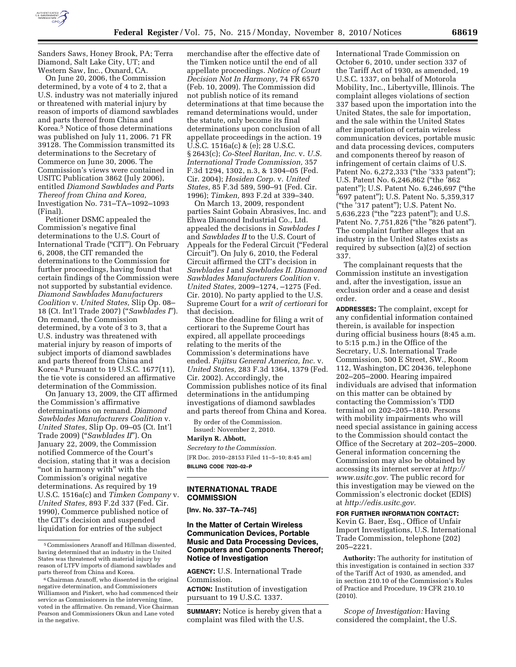

Sanders Saws, Honey Brook, PA; Terra Diamond, Salt Lake City, UT; and Western Saw, Inc., Oxnard, CA.

On June 20, 2006, the Commission determined, by a vote of 4 to 2, that a U.S. industry was not materially injured or threatened with material injury by reason of imports of diamond sawblades and parts thereof from China and Korea.5 Notice of those determinations was published on July 11, 2006. 71 FR 39128. The Commission transmitted its determinations to the Secretary of Commerce on June 30, 2006. The Commission's views were contained in USITC Publication 3862 (July 2006), entitled *Diamond Sawblades and Parts Thereof from China and Korea,*  Investigation No. 731–TA–1092–1093 (Final).

Petitioner DSMC appealed the Commission's negative final determinations to the U.S. Court of International Trade (''CIT''). On February 6, 2008, the CIT remanded the determinations to the Commission for further proceedings, having found that certain findings of the Commission were not supported by substantial evidence. *Diamond Sawblades Manufacturers Coalition* v. *United States,* Slip Op. 08– 18 (Ct. Int'l Trade 2007) (''*Sawblades I*''). On remand, the Commission determined, by a vote of 3 to 3, that a U.S. industry was threatened with material injury by reason of imports of subject imports of diamond sawblades and parts thereof from China and Korea.6 Pursuant to 19 U.S.C. 1677(11), the tie vote is considered an affirmative determination of the Commission.

On January 13, 2009, the CIT affirmed the Commission's affirmative determinations on remand. *Diamond Sawblades Manufacturers Coalition* v. *United States,* Slip Op. 09–05 (Ct. Int'l Trade 2009) (''*Sawblades II*''). On January 22, 2009, the Commission notified Commerce of the Court's decision, stating that it was a decision "not in harmony with" with the Commission's original negative determinations. As required by 19 U.S.C. 1516a(c) and *Timken Company* v. *United States,* 893 F.2d 337 (Fed. Cir. 1990), Commerce published notice of the CIT's decision and suspended liquidation for entries of the subject

merchandise after the effective date of the Timken notice until the end of all appellate proceedings. *Notice of Court Decision Not In Harmony,* 74 FR 6570 (Feb. 10, 2009). The Commission did not publish notice of its remand determinations at that time because the remand determinations would, under the statute, only become its final determinations upon conclusion of all appellate proceedings in the action. 19 U.S.C. 1516a(c) & (e); 28 U.S.C. § 2643(c); *Co-Steel Raritan, Inc.* v. *U.S. International Trade Commission,* 357 F.3d 1294, 1302, n.3, & 1304–05 (Fed. Cir. 2004); *Hosiden Corp.* v. *United States,* 85 F.3d 589, 590–91 (Fed. Cir. 1996); *Timken,* 893 F.2d at 339–340.

On March 13, 2009, respondent parties Saint Gobain Abrasives, Inc. and Ehwa Diamond Industrial Co., Ltd. appealed the decisions in *Sawblades I*  and *Sawblades II* to the U.S. Court of Appeals for the Federal Circuit (''Federal Circuit''). On July 6, 2010, the Federal Circuit affirmed the CIT's decision in *Sawblades I* and *Sawblades II. Diamond Sawblades Manufacturers Coalition* v. *United States,* 2009–1274, –1275 (Fed. Cir. 2010). No party applied to the U.S. Supreme Court for a *writ of certiorari* for that decision.

Since the deadline for filing a writ of certiorari to the Supreme Court has expired, all appellate proceedings relating to the merits of the Commission's determinations have ended. *Fujitsu General America, Inc.* v. *United States,* 283 F.3d 1364, 1379 (Fed. Cir. 2002). Accordingly, the Commission publishes notice of its final determinations in the antidumping investigations of diamond sawblades and parts thereof from China and Korea.

By order of the Commission. Issued: November 2, 2010.

#### **Marilyn R. Abbott,**

*Secretary to the Commission.*  [FR Doc. 2010–28153 Filed 11–5–10; 8:45 am] **BILLING CODE 7020–02–P** 

### **INTERNATIONAL TRADE COMMISSION**

**[Inv. No. 337–TA–745]** 

# **In the Matter of Certain Wireless Communication Devices, Portable Music and Data Processing Devices, Computers and Components Thereof; Notice of Investigation**

**AGENCY:** U.S. International Trade Commission.

**ACTION:** Institution of investigation pursuant to 19 U.S.C. 1337.

**SUMMARY:** Notice is hereby given that a complaint was filed with the U.S.

International Trade Commission on October 6, 2010, under section 337 of the Tariff Act of 1930, as amended, 19 U.S.C. 1337, on behalf of Motorola Mobility, Inc., Libertyville, Illinois. The complaint alleges violations of section 337 based upon the importation into the United States, the sale for importation, and the sale within the United States after importation of certain wireless communication devices, portable music and data processing devices, computers and components thereof by reason of infringement of certain claims of U.S. Patent No. 6,272,333 ("the '333 patent"); U.S. Patent No. 6,246,862 ("the '862 patent''); U.S. Patent No. 6,246,697 (''the ''697 patent''); U.S. Patent No. 5,359,317 (''the '317 patent''); U.S. Patent No. 5,636,223 ("the "223 patent"); and U.S. Patent No. 7,751,826 ("the "826 patent"). The complaint further alleges that an industry in the United States exists as required by subsection (a)(2) of section 337.

The complainant requests that the Commission institute an investigation and, after the investigation, issue an exclusion order and a cease and desist order.

**ADDRESSES:** The complaint, except for any confidential information contained therein, is available for inspection during official business hours (8:45 a.m. to 5:15 p.m.) in the Office of the Secretary, U.S. International Trade Commission, 500 E Street, SW., Room 112, Washington, DC 20436, telephone 202–205–2000. Hearing impaired individuals are advised that information on this matter can be obtained by contacting the Commission's TDD terminal on 202–205–1810. Persons with mobility impairments who will need special assistance in gaining access to the Commission should contact the Office of the Secretary at 202–205–2000. General information concerning the Commission may also be obtained by accessing its internet server at *[http://](http://www.usitc.gov)  [www.usitc.gov.](http://www.usitc.gov)* The public record for this investigation may be viewed on the Commission's electronic docket (EDIS) at *[http://edis.usitc.gov.](http://edis.usitc.gov)* 

**FOR FURTHER INFORMATION CONTACT:**  Kevin G. Baer, Esq., Office of Unfair Import Investigations, U.S. International Trade Commission, telephone (202) 205–2221.

**Authority:** The authority for institution of this investigation is contained in section 337 of the Tariff Act of 1930, as amended, and in section 210.10 of the Commission's Rules of Practice and Procedure, 19 CFR 210.10  $(2010)$ 

*Scope of Investigation:* Having considered the complaint, the U.S.

<sup>5</sup>Commissioners Aranoff and Hillman dissented, having determined that an industry in the United States was threatened with material injury by reason of LTFV imports of diamond sawblades and parts thereof from China and Korea.

<sup>6</sup>Chairman Aranoff, who dissented in the original negative determination, and Commissioners Williamson and Pinkert, who had commenced their service as Commissioners in the intervening time, voted in the affirmative. On remand, Vice Chairman Pearson and Commissioners Okun and Lane voted in the negative.